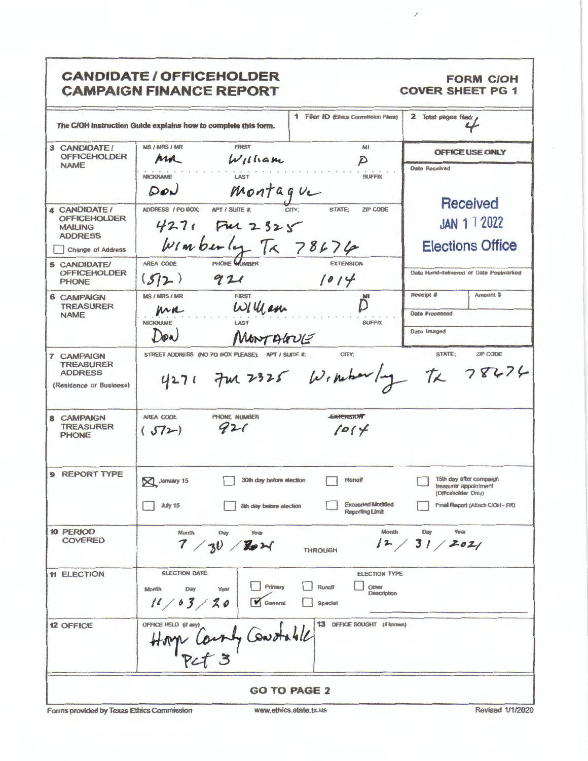| 1 Filer ID (Ethics Commission Filers)<br>The C/OH Instruction Guide explains how to complete this form.<br><b>MS / MRS / MR</b><br>M<br><b>FIRST</b><br>3 CANDIDATE/<br><b>OFFICEHOLDER</b><br>ma<br>$W$ lliam<br>$\mathcal{D}$<br><b>NAME</b><br>LAST<br><b>NICKNAME</b><br><b>SUFFIX</b><br>Montague<br>$D_{ov}$<br>STATE:<br>ADDRESS / PO BOX:<br>APT / SUITE #:<br>ZIP CODE<br><b>4 CANDIDATE/</b><br><b>OFFICEHOLDER</b><br>$4271$ Ful 2325<br><b>MAILING</b><br><b>ADDRESS</b><br>$w_1$ mberly $T_1 \times 78676$<br><b>Change of Address</b><br>PHONE WIMBER<br>AREA CODE<br><b>EXTENSION</b><br>5 CANDIDATE/<br><b>OFFICEHOLDER</b><br>572)<br>921<br>1014<br><b>PHONE</b><br><b>MS / MRS / MR</b><br><b>FIRST</b><br>MI<br><b>6 CAMPAIGN</b><br>Willam<br><b>TREASURER</b><br>$M_{\rm M}$<br><b>NAME</b><br><b>NICKNAME</b><br><b>SUFFIX</b><br>MONTAGUE<br>Dow<br>STREET ADDRESS (NO PO BOX PLEASE); APT / SUITE #;<br>CITY:<br><b>7 CAMPAIGN</b><br><b>TREASURER</b><br>4271 7m 2325 Windowly TX 78674<br><b>ADDRESS</b><br>(Residence or Business)<br>PHONE NUMBER<br><b>EXTENSION</b><br>AREA CODE<br><b>8 CAMPAIGN</b><br><b>TREASURER</b><br>921<br>1014<br>(572)<br><b>PHONE</b><br>9 REPORT TYPE<br>Runoff<br>30th day before election<br>January 15<br><b>Exceeded Modified</b><br><b>July 15</b><br>8th day before election<br>Reporting Limit<br>10 PERIOD<br>Month<br><b>Month</b><br>Day<br>Year<br><b>COVERED</b><br>7/30/8<br><b>THROUGH</b><br><b>ELECTION DATE</b><br><b>ELECTION TYPE</b><br><b>11 ELECTION</b><br>Primary<br><b>Runoff</b><br>Other<br>Day<br>Year<br>Month<br>Description<br>11/63/20<br><b>V</b> General<br><b>Special</b> | <b>FORM C/OH</b><br><b>COVER SHEET PG 1</b>                                                                 | <b>CANDIDATE / OFFICEHOLDER</b><br><b>CAMPAIGN FINANCE REPORT</b>            |                  |
|--------------------------------------------------------------------------------------------------------------------------------------------------------------------------------------------------------------------------------------------------------------------------------------------------------------------------------------------------------------------------------------------------------------------------------------------------------------------------------------------------------------------------------------------------------------------------------------------------------------------------------------------------------------------------------------------------------------------------------------------------------------------------------------------------------------------------------------------------------------------------------------------------------------------------------------------------------------------------------------------------------------------------------------------------------------------------------------------------------------------------------------------------------------------------------------------------------------------------------------------------------------------------------------------------------------------------------------------------------------------------------------------------------------------------------------------------------------------------------------------------------------------------------------------------------------------------------------------------------------------------------------------------------------------------|-------------------------------------------------------------------------------------------------------------|------------------------------------------------------------------------------|------------------|
|                                                                                                                                                                                                                                                                                                                                                                                                                                                                                                                                                                                                                                                                                                                                                                                                                                                                                                                                                                                                                                                                                                                                                                                                                                                                                                                                                                                                                                                                                                                                                                                                                                                                          | 2 Total pages filed:                                                                                        |                                                                              |                  |
|                                                                                                                                                                                                                                                                                                                                                                                                                                                                                                                                                                                                                                                                                                                                                                                                                                                                                                                                                                                                                                                                                                                                                                                                                                                                                                                                                                                                                                                                                                                                                                                                                                                                          | <b>OFFICE USE ONLY</b>                                                                                      |                                                                              |                  |
|                                                                                                                                                                                                                                                                                                                                                                                                                                                                                                                                                                                                                                                                                                                                                                                                                                                                                                                                                                                                                                                                                                                                                                                                                                                                                                                                                                                                                                                                                                                                                                                                                                                                          | <b>Date Received</b>                                                                                        |                                                                              |                  |
|                                                                                                                                                                                                                                                                                                                                                                                                                                                                                                                                                                                                                                                                                                                                                                                                                                                                                                                                                                                                                                                                                                                                                                                                                                                                                                                                                                                                                                                                                                                                                                                                                                                                          | Received<br><b>JAN 1 1 2022</b><br><b>Elections Office</b>                                                  |                                                                              |                  |
|                                                                                                                                                                                                                                                                                                                                                                                                                                                                                                                                                                                                                                                                                                                                                                                                                                                                                                                                                                                                                                                                                                                                                                                                                                                                                                                                                                                                                                                                                                                                                                                                                                                                          | Date Hand-delivered or Date Postmarked                                                                      |                                                                              |                  |
|                                                                                                                                                                                                                                                                                                                                                                                                                                                                                                                                                                                                                                                                                                                                                                                                                                                                                                                                                                                                                                                                                                                                                                                                                                                                                                                                                                                                                                                                                                                                                                                                                                                                          | Receipt #<br>Amount \$<br><b>Date Processed</b><br>Date Imaged                                              |                                                                              |                  |
|                                                                                                                                                                                                                                                                                                                                                                                                                                                                                                                                                                                                                                                                                                                                                                                                                                                                                                                                                                                                                                                                                                                                                                                                                                                                                                                                                                                                                                                                                                                                                                                                                                                                          | <b>STATE:</b><br>ZIP CODE                                                                                   |                                                                              |                  |
|                                                                                                                                                                                                                                                                                                                                                                                                                                                                                                                                                                                                                                                                                                                                                                                                                                                                                                                                                                                                                                                                                                                                                                                                                                                                                                                                                                                                                                                                                                                                                                                                                                                                          |                                                                                                             |                                                                              |                  |
|                                                                                                                                                                                                                                                                                                                                                                                                                                                                                                                                                                                                                                                                                                                                                                                                                                                                                                                                                                                                                                                                                                                                                                                                                                                                                                                                                                                                                                                                                                                                                                                                                                                                          | 15th day after campaign.<br>treasurer appointment<br>(Officeholder Only)<br>Final Report (Attach C/OH - FR) |                                                                              |                  |
|                                                                                                                                                                                                                                                                                                                                                                                                                                                                                                                                                                                                                                                                                                                                                                                                                                                                                                                                                                                                                                                                                                                                                                                                                                                                                                                                                                                                                                                                                                                                                                                                                                                                          | Day<br>Year<br>12/31/2021                                                                                   |                                                                              |                  |
|                                                                                                                                                                                                                                                                                                                                                                                                                                                                                                                                                                                                                                                                                                                                                                                                                                                                                                                                                                                                                                                                                                                                                                                                                                                                                                                                                                                                                                                                                                                                                                                                                                                                          |                                                                                                             |                                                                              |                  |
|                                                                                                                                                                                                                                                                                                                                                                                                                                                                                                                                                                                                                                                                                                                                                                                                                                                                                                                                                                                                                                                                                                                                                                                                                                                                                                                                                                                                                                                                                                                                                                                                                                                                          |                                                                                                             | 13 OFFICE SOUGHT (if known)<br>OFFICE HELD (if any)<br>Hope Caunty Constable | <b>12 OFFICE</b> |
| <b>GO TO PAGE 2</b>                                                                                                                                                                                                                                                                                                                                                                                                                                                                                                                                                                                                                                                                                                                                                                                                                                                                                                                                                                                                                                                                                                                                                                                                                                                                                                                                                                                                                                                                                                                                                                                                                                                      |                                                                                                             |                                                                              |                  |

 $\mathcal I$ 

Forms provided by Texas Ethics Commission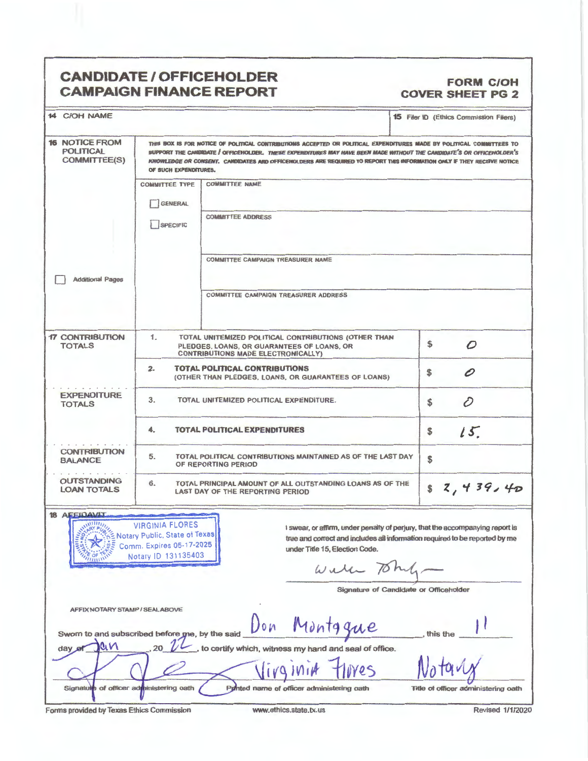## **CANDIDATE/ OFFICEHOLDER CAMPAIGN FINANCE REPORT**

## **FORM C/OH COVER SHEET PG 2**

| <b>14 C/OH NAME</b>                                                                  |                                                                                                                                                                                                                                                                                                                                                                                                  |                                                                                                                                          | <b>15 Filer ID (Ethics Commission Filers)</b>                                                                                                                |  |
|--------------------------------------------------------------------------------------|--------------------------------------------------------------------------------------------------------------------------------------------------------------------------------------------------------------------------------------------------------------------------------------------------------------------------------------------------------------------------------------------------|------------------------------------------------------------------------------------------------------------------------------------------|--------------------------------------------------------------------------------------------------------------------------------------------------------------|--|
| <b>16 NOTICE FROM</b><br><b>POLITICAL</b><br><b>COMMITTEE(S)</b>                     | THIS BOX IS FOR NOTICE OF POLITICAL CONTRIBUTIONS ACCEPTED OR POLITICAL EXPENDITURES MADE BY POLITICAL COMMITTEES TO<br>SUPPORT THE CANDIDATE / OFFICEHOLDER. THESE EXPENDITURES MAY HAVE BEEN MADE WITHOUT THE CANDIDATE'S OR OFFICEHOLDER'S<br>KNOWLEDGE OR CONSENT. CANDIDATES AND OFFICENDLDERS ARE REQUIRED TO REPORT THIS INFORMATION ONLY IF THEY RECEIVE NOTICE<br>OF SUCH EXPENDITURES. |                                                                                                                                          |                                                                                                                                                              |  |
|                                                                                      | <b>COMMITTEE TYPE</b><br>GENERAL                                                                                                                                                                                                                                                                                                                                                                 | <b>COMMITTEE NAME</b>                                                                                                                    |                                                                                                                                                              |  |
|                                                                                      | SPECIFIC                                                                                                                                                                                                                                                                                                                                                                                         | <b>COMMITTEE ADDRESS</b>                                                                                                                 |                                                                                                                                                              |  |
| <b>Additional Pages</b>                                                              |                                                                                                                                                                                                                                                                                                                                                                                                  | <b>COMMITTEE CAMPAIGN TREASURER NAME</b>                                                                                                 |                                                                                                                                                              |  |
|                                                                                      |                                                                                                                                                                                                                                                                                                                                                                                                  | <b>COMMITTEE CAMPAIGN TREASURER ADDRESS</b>                                                                                              |                                                                                                                                                              |  |
| <b>17 CONTRIBUTION</b><br><b>TOTALS</b>                                              | 1.                                                                                                                                                                                                                                                                                                                                                                                               | TOTAL UNITEMIZED POLITICAL CONTRIBUTIONS (OTHER THAN<br>PLEDGES, LOANS, OR GUARANTEES OF LOANS, OR<br>CONTRIBUTIONS MADE ELECTRONICALLY) | \$<br>$\mathcal{O}$                                                                                                                                          |  |
|                                                                                      | 2.                                                                                                                                                                                                                                                                                                                                                                                               | <b>TOTAL POLITICAL CONTRIBUTIONS</b><br>(OTHER THAN PLEDGES, LOANS, OR GUARANTEES OF LOANS)                                              | \$<br>0                                                                                                                                                      |  |
| <b>EXPENDITURE</b><br>3.<br>TOTAL UNITEMIZED POLITICAL EXPENDITURE.<br><b>TOTALS</b> |                                                                                                                                                                                                                                                                                                                                                                                                  | D<br>\$                                                                                                                                  |                                                                                                                                                              |  |
|                                                                                      | 4.                                                                                                                                                                                                                                                                                                                                                                                               | <b>TOTAL POLITICAL EXPENDITURES</b>                                                                                                      | 15.<br>\$                                                                                                                                                    |  |
| <b>CONTRIBUTION</b><br><b>BALANCE</b>                                                | 5.                                                                                                                                                                                                                                                                                                                                                                                               | TOTAL POLITICAL CONTRIBUTIONS MAINTAINED AS OF THE LAST DAY<br>OF REPORTING PERIOD                                                       | \$                                                                                                                                                           |  |
| <b>OUTSTANDING</b><br><b>LOAN TOTALS</b>                                             | 6.                                                                                                                                                                                                                                                                                                                                                                                               | TOTAL PRINCIPAL AMOUNT OF ALL OUTSTANDING LOANS AS OF THE<br>LAST DAY OF THE REPORTING PERIOD                                            | 82,439,40                                                                                                                                                    |  |
| <b>18 AFFIDAVIT</b><br>$^{\prime}$                                                   | VIRGINIA FLORES<br>Notary ID 131135403                                                                                                                                                                                                                                                                                                                                                           | under Title 15, Election Code.<br>Will                                                                                                   | I swear, or affirm, under penalty of perjury, that the accompanying report is<br>true and correct and includes all information required to be reported by me |  |
|                                                                                      |                                                                                                                                                                                                                                                                                                                                                                                                  |                                                                                                                                          | Signature of Candidate or Officeholder                                                                                                                       |  |
| AFFIX NOTARY STAMP / SEAL ABOVE                                                      |                                                                                                                                                                                                                                                                                                                                                                                                  |                                                                                                                                          |                                                                                                                                                              |  |
| Sworn to and subscribed before me, by the said                                       |                                                                                                                                                                                                                                                                                                                                                                                                  | Montggue<br>Jon                                                                                                                          | this the                                                                                                                                                     |  |
| QN<br>$day$ $a$                                                                      |                                                                                                                                                                                                                                                                                                                                                                                                  | to certify which, witness my hand and seal of office.                                                                                    |                                                                                                                                                              |  |
|                                                                                      |                                                                                                                                                                                                                                                                                                                                                                                                  |                                                                                                                                          |                                                                                                                                                              |  |
| Signature of officer administering oath                                              |                                                                                                                                                                                                                                                                                                                                                                                                  | Punted name of officer administering oath                                                                                                | Title of officer administering oath                                                                                                                          |  |

Forms provided by Texas Ethics Commission www.ethics.state.tx.us Revised 1/1/2020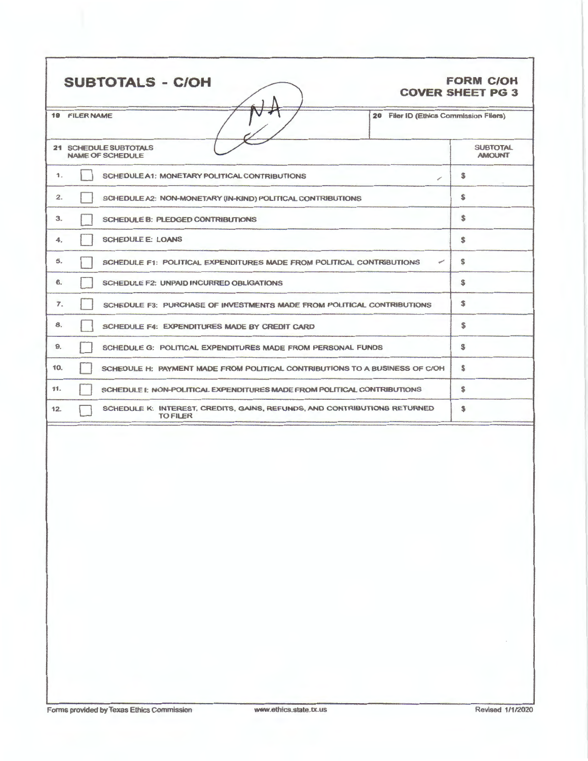| <b>SUBTOTALS - C/OH</b>                                                                             | <b>FORM C/OH</b><br><b>COVER SHEET PG 3</b> |
|-----------------------------------------------------------------------------------------------------|---------------------------------------------|
| 20 Filer ID (Ethics Commission Filers)<br><b>19 FILER NAME</b>                                      |                                             |
| 21 SCHEDULE SUBTOTALS<br>NAME OF SCHEDULE                                                           | <b>SUBTOTAL</b><br><b>AMOUNT</b>            |
| 1.<br>SCHEDULE A1: MONETARY POLITICAL CONTRIBUTIONS<br>◢                                            | S                                           |
| 2.<br>SCHEDULE A2: NON-MONETARY (IN-KIND) POLITICAL CONTRIBUTIONS                                   | S                                           |
| 3.<br><b>SCHEDULE B: PLEDGED CONTRIBUTIONS</b>                                                      | \$                                          |
| <b>SCHEDULE E: LOANS</b><br>4.                                                                      | \$                                          |
| 5.<br>✓<br>SCHEDULE F1: POLITICAL EXPENDITURES MADE FROM POLITICAL CONTRIBUTIONS                    | s                                           |
| 6.<br><b>SCHEDULE F2: UNPAID INCURRED OBLIGATIONS</b>                                               | S                                           |
| $\tau$ .<br>SCHEDULE F3: PURCHASE OF INVESTMENTS MADE FROM POLITICAL CONTRIBUTIONS                  | \$                                          |
| 8.<br>SCHEDULE F4: EXPENDITURES MADE BY CREDIT CARD                                                 | s                                           |
| 9.<br>SCHEDULE G: POLITICAL EXPENDITURES MADE FROM PERSONAL FUNDS                                   | $\mathbf s$                                 |
| 10.<br>SCHEDULE H: PAYMENT MADE FROM POLITICAL CONTRIBUTIONS TO A BUSINESS OF C/OH                  | \$                                          |
| 11.<br>SCHEDULE I: NON-POLITICAL EXPENDITURES MADE FROM POLITICAL CONTRIBUTIONS                     | s                                           |
| SCHEDULE K: INTEREST, CREDITS, GAINS, REFUNDS, AND CONTRIBUTIONS RETURNED<br>12.<br><b>TO FILER</b> | \$                                          |
|                                                                                                     |                                             |